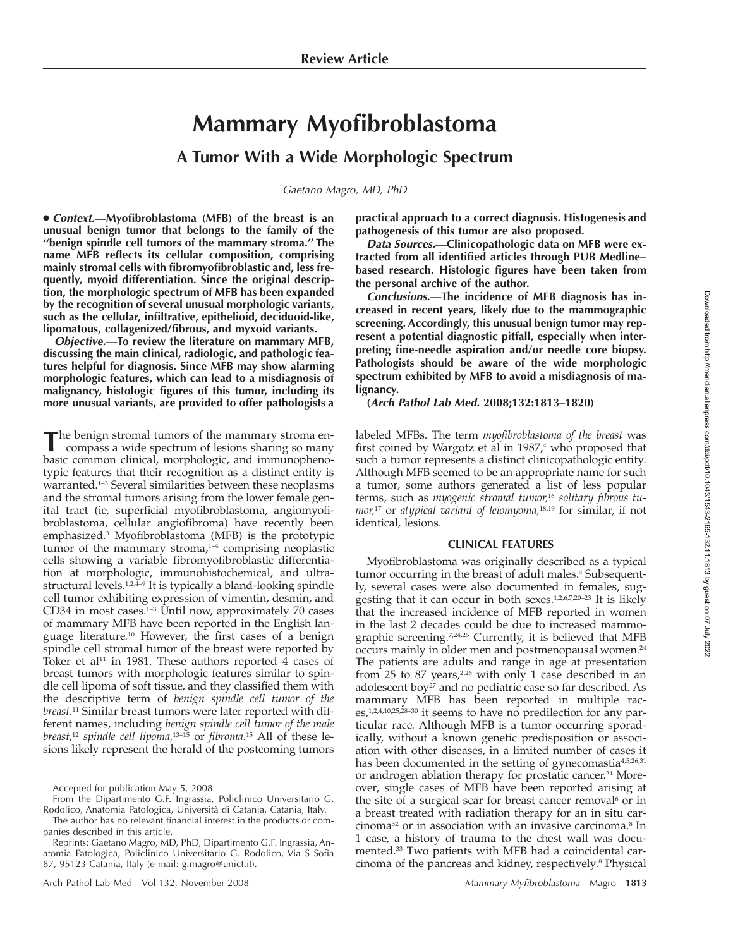# **Mammary Myofibroblastoma**

## **A Tumor With a Wide Morphologic Spectrum**

*Gaetano Magro, MD, PhD*

● *Context.***—Myofibroblastoma (MFB) of the breast is an unusual benign tumor that belongs to the family of the ''benign spindle cell tumors of the mammary stroma.'' The name MFB reflects its cellular composition, comprising mainly stromal cells with fibromyofibroblastic and, less frequently, myoid differentiation. Since the original description, the morphologic spectrum of MFB has been expanded by the recognition of several unusual morphologic variants, such as the cellular, infiltrative, epithelioid, deciduoid-like, lipomatous, collagenized/fibrous, and myxoid variants.**

*Objective.***—To review the literature on mammary MFB, discussing the main clinical, radiologic, and pathologic features helpful for diagnosis. Since MFB may show alarming morphologic features, which can lead to a misdiagnosis of malignancy, histologic figures of this tumor, including its more unusual variants, are provided to offer pathologists a**

The benign stromal tumors of the mammary stroma encompass a wide spectrum of lesions sharing so many basic common clinical, morphologic, and immunophenotypic features that their recognition as a distinct entity is warranted.1–3 Several similarities between these neoplasms and the stromal tumors arising from the lower female genital tract (ie, superficial myofibroblastoma, angiomyofibroblastoma, cellular angiofibroma) have recently been emphasized.3 Myofibroblastoma (MFB) is the prototypic tumor of the mammary stroma, $1-4$  comprising neoplastic cells showing a variable fibromyofibroblastic differentiation at morphologic, immunohistochemical, and ultrastructural levels.<sup>1,2,4-9</sup> It is typically a bland-looking spindle cell tumor exhibiting expression of vimentin, desmin, and CD34 in most cases. $1-3$  Until now, approximately 70 cases of mammary MFB have been reported in the English language literature.10 However, the first cases of a benign spindle cell stromal tumor of the breast were reported by Toker et al<sup>11</sup> in 1981. These authors reported  $\overline{4}$  cases of breast tumors with morphologic features similar to spindle cell lipoma of soft tissue, and they classified them with the descriptive term of *benign spindle cell tumor of the breast.*<sup>11</sup> Similar breast tumors were later reported with different names, including *benign spindle cell tumor of the male breast,*<sup>12</sup> *spindle cell lipoma,*13–15 or *fibroma.*<sup>15</sup> All of these lesions likely represent the herald of the postcoming tumors

Accepted for publication May 5, 2008.

The author has no relevant financial interest in the products or companies described in this article.

**practical approach to a correct diagnosis. Histogenesis and pathogenesis of this tumor are also proposed.**

*Data Sources.***—Clinicopathologic data on MFB were extracted from all identified articles through PUB Medline– based research. Histologic figures have been taken from the personal archive of the author.**

*Conclusions.***—The incidence of MFB diagnosis has increased in recent years, likely due to the mammographic screening. Accordingly, this unusual benign tumor may represent a potential diagnostic pitfall, especially when interpreting fine-needle aspiration and/or needle core biopsy. Pathologists should be aware of the wide morphologic spectrum exhibited by MFB to avoid a misdiagnosis of malignancy.**

**(***Arch Pathol Lab Med.* **2008;132:1813–1820)**

labeled MFBs. The term *myofibroblastoma of the breast* was first coined by Wargotz et al in 1987,<sup>4</sup> who proposed that such a tumor represents a distinct clinicopathologic entity. Although MFB seemed to be an appropriate name for such a tumor, some authors generated a list of less popular terms, such as *myogenic stromal tumor,*<sup>16</sup> *solitary fibrous tumor,*<sup>17</sup> or *atypical variant of leiomyoma,*18,19 for similar, if not identical, lesions.

### **CLINICAL FEATURES**

Myofibroblastoma was originally described as a typical tumor occurring in the breast of adult males.<sup>4</sup> Subsequently, several cases were also documented in females, suggesting that it can occur in both sexes.1,2,6,7,20–23 It is likely that the increased incidence of MFB reported in women in the last 2 decades could be due to increased mammographic screening.7,24,25 Currently, it is believed that MFB occurs mainly in older men and postmenopausal women.24 The patients are adults and range in age at presentation from 25 to 87 years,<sup>2,26</sup> with only 1 case described in an adolescent boy<sup>27</sup> and no pediatric case so far described. As mammary MFB has been reported in multiple races,<sup>1,2,4,10,25,28-30</sup> it seems to have no predilection for any particular race. Although MFB is a tumor occurring sporadically, without a known genetic predisposition or association with other diseases, in a limited number of cases it has been documented in the setting of gynecomastia<sup>4,5,26,31</sup> or androgen ablation therapy for prostatic cancer.<sup>24</sup> Moreover, single cases of MFB have been reported arising at the site of a surgical scar for breast cancer removal<sup>6</sup> or in a breast treated with radiation therapy for an in situ carcinoma32 or in association with an invasive carcinoma.8 In 1 case, a history of trauma to the chest wall was documented.33 Two patients with MFB had a coincidental carcinoma of the pancreas and kidney, respectively.8 Physical

From the Dipartimento G.F. Ingrassia, Policlinico Universitario G. Rodolico, Anatomia Patologica, Università di Catania, Catania, Italy.

Reprints: Gaetano Magro, MD, PhD, Dipartimento G.F. Ingrassia, Anatomia Patologica, Policlinico Universitario G. Rodolico, Via S Sofia 87, 95123 Catania, Italy (e-mail: g.magro@unict.it).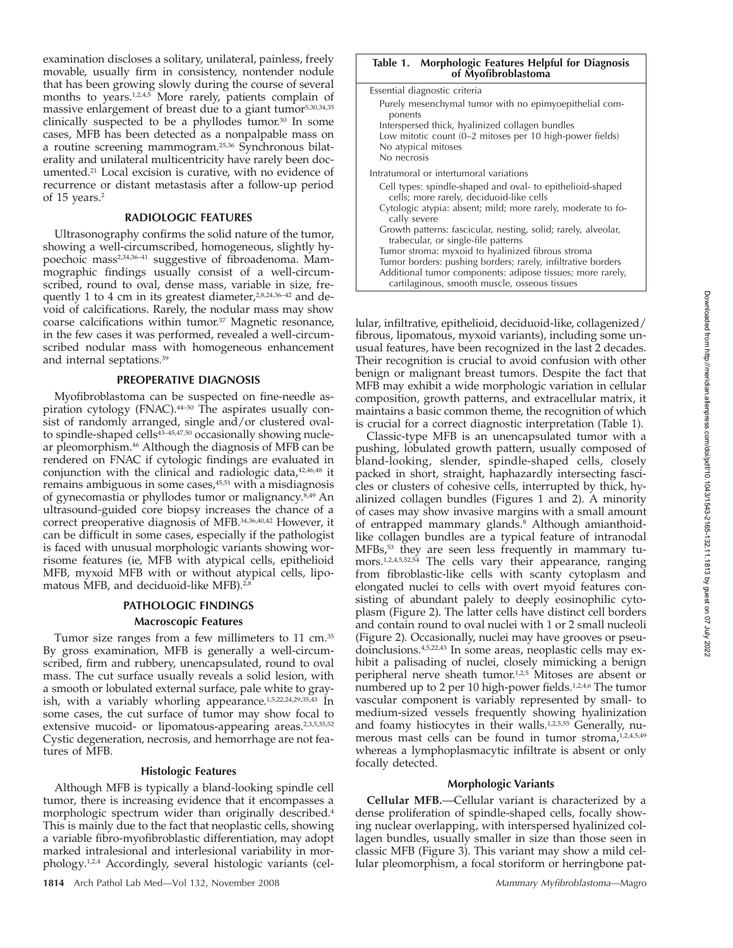examination discloses a solitary, unilateral, painless, freely movable, usually firm in consistency, nontender nodule that has been growing slowly during the course of several months to years.<sup>1,2,4,5</sup> More rarely, patients complain of massive enlargement of breast due to a giant tumor<sup>5,30,34,35</sup> clinically suspected to be a phyllodes tumor.30 In some cases, MFB has been detected as a nonpalpable mass on a routine screening mammogram.25,36 Synchronous bilaterality and unilateral multicentricity have rarely been documented.21 Local excision is curative, with no evidence of recurrence or distant metastasis after a follow-up period of 15 years.2

### **RADIOLOGIC FEATURES**

Ultrasonography confirms the solid nature of the tumor, showing a well-circumscribed, homogeneous, slightly hypoechoic mass<sup>2,34,36-41</sup> suggestive of fibroadenoma. Mammographic findings usually consist of a well-circumscribed, round to oval, dense mass, variable in size, frequently 1 to 4 cm in its greatest diameter,<sup>2,8,24,36-42</sup> and devoid of calcifications. Rarely, the nodular mass may show coarse calcifications within tumor.37 Magnetic resonance, in the few cases it was performed, revealed a well-circumscribed nodular mass with homogeneous enhancement and internal septations.39

### **PREOPERATIVE DIAGNOSIS**

Myofibroblastoma can be suspected on fine-needle aspiration cytology (FNAC).<sup>44-50</sup> The aspirates usually consist of randomly arranged, single and/or clustered ovalto spindle-shaped cells<sup>43-45,47,50</sup> occasionally showing nuclear pleomorphism.46 Although the diagnosis of MFB can be rendered on FNAC if cytologic findings are evaluated in conjunction with the clinical and radiologic data,<sup>42,46,48</sup> it remains ambiguous in some cases,<sup>45,51</sup> with a misdiagnosis of gynecomastia or phyllodes tumor or malignancy.<sup>8,49</sup> An ultrasound-guided core biopsy increases the chance of a correct preoperative diagnosis of MFB.34,36,40,42 However, it can be difficult in some cases, especially if the pathologist is faced with unusual morphologic variants showing worrisome features (ie, MFB with atypical cells, epithelioid MFB, myxoid MFB with or without atypical cells, lipomatous MFB, and deciduoid-like MFB).<sup>2,8</sup>

### **PATHOLOGIC FINDINGS Macroscopic Features**

Tumor size ranges from a few millimeters to 11 cm.35 By gross examination, MFB is generally a well-circumscribed, firm and rubbery, unencapsulated, round to oval mass. The cut surface usually reveals a solid lesion, with a smooth or lobulated external surface, pale white to grayish, with a variably whorling appearance.<sup>1,5,22,24,29,35,43</sup> In some cases, the cut surface of tumor may show focal to extensive mucoid- or lipomatous-appearing areas.<sup>2,3,5,35,52</sup> Cystic degeneration, necrosis, and hemorrhage are not features of MFB.

### **Histologic Features**

Although MFB is typically a bland-looking spindle cell tumor, there is increasing evidence that it encompasses a morphologic spectrum wider than originally described.4 This is mainly due to the fact that neoplastic cells, showing a variable fibro-myofibroblastic differentiation, may adopt marked intralesional and interlesional variability in morphology.1,2,4 Accordingly, several histologic variants (cel-

| Morphologic Features Helpful for Diagnosis<br>Table 1.<br>of Myofibroblastoma                                                                                                                                          |
|------------------------------------------------------------------------------------------------------------------------------------------------------------------------------------------------------------------------|
| Essential diagnostic criteria                                                                                                                                                                                          |
| Purely mesenchymal tumor with no epimyoepithelial com-<br>ponents<br>Interspersed thick, hyalinized collagen bundles<br>Low mitotic count (0-2 mitoses per 10 high-power fields)<br>No atypical mitoses<br>No necrosis |
| Intratumoral or intertumoral variations                                                                                                                                                                                |
| Cell types: spindle-shaped and oval- to epithelioid-shaped<br>cells; more rarely, deciduoid-like cells<br>Cytologic atypia: absent; mild; more rarely, moderate to fo-<br>cally severe                                 |
| Growth patterns: fascicular, nesting, solid; rarely, alveolar,<br>trabecular, or single-file patterns                                                                                                                  |

Tumor stroma: myxoid to hyalinized fibrous stroma Tumor borders: pushing borders; rarely, infiltrative borders Additional tumor components: adipose tissues; more rarely,

cartilaginous, smooth muscle, osseous tissues

lular, infiltrative, epithelioid, deciduoid-like, collagenized/ fibrous, lipomatous, myxoid variants), including some unusual features, have been recognized in the last 2 decades. Their recognition is crucial to avoid confusion with other benign or malignant breast tumors. Despite the fact that MFB may exhibit a wide morphologic variation in cellular composition, growth patterns, and extracellular matrix, it maintains a basic common theme, the recognition of which is crucial for a correct diagnostic interpretation (Table 1).

Classic-type MFB is an unencapsulated tumor with a pushing, lobulated growth pattern, usually composed of bland-looking, slender, spindle-shaped cells, closely packed in short, straight, haphazardly intersecting fascicles or clusters of cohesive cells, interrupted by thick, hyalinized collagen bundles (Figures 1 and 2). A minority of cases may show invasive margins with a small amount of entrapped mammary glands.<sup>8</sup> Although amianthoidlike collagen bundles are a typical feature of intranodal MFBs,53 they are seen less frequently in mammary tumors.1,2,4,5,52,54 The cells vary their appearance, ranging from fibroblastic-like cells with scanty cytoplasm and elongated nuclei to cells with overt myoid features consisting of abundant palely to deeply eosinophilic cytoplasm (Figure 2). The latter cells have distinct cell borders and contain round to oval nuclei with 1 or 2 small nucleoli (Figure 2). Occasionally, nuclei may have grooves or pseudoinclusions.<sup>4,5,22,43</sup> In some areas, neoplastic cells may exhibit a palisading of nuclei, closely mimicking a benign peripheral nerve sheath tumor.<sup>1,2,5</sup> Mitoses are absent or numbered up to 2 per 10 high-power fields.<sup>1,2,4,6</sup> The tumor vascular component is variably represented by small- to medium-sized vessels frequently showing hyalinization and foamy histiocytes in their walls.<sup>1,2,5,55</sup> Generally, numerous mast cells can be found in tumor stroma,<sup>1,2,4,5,49</sup> whereas a lymphoplasmacytic infiltrate is absent or only focally detected.

### **Morphologic Variants**

**Cellular MFB.** - Cellular variant is characterized by a dense proliferation of spindle-shaped cells, focally showing nuclear overlapping, with interspersed hyalinized collagen bundles, usually smaller in size than those seen in classic MFB (Figure 3). This variant may show a mild cellular pleomorphism, a focal storiform or herringbone pat-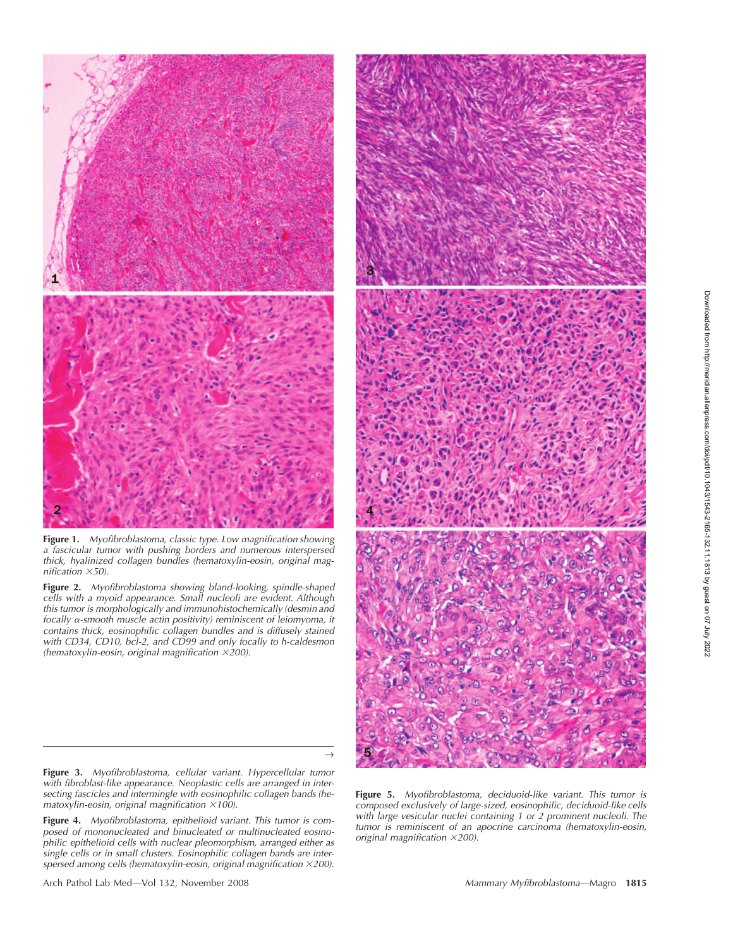

**Figure 1.** *Myofibroblastoma, classic type. Low magnification showing a fascicular tumor with pushing borders and numerous interspersed thick, hyalinized collagen bundles (hematoxylin-eosin, original magnification* -*50).*

**Figure 2.** *Myofibroblastoma showing bland-looking, spindle-shaped cells with a myoid appearance. Small nucleoli are evident. Although this tumor is morphologically and immunohistochemically (desmin and focally -smooth muscle actin positivity) reminiscent of leiomyoma, it contains thick, eosinophilic collagen bundles and is diffusely stained with CD34, CD10, bcl-2, and CD99 and only focally to h-caldesmon (hematoxylin-eosin, original magnification* -*200).*



**Figure 3.** *Myofibroblastoma, cellular variant. Hypercellular tumor with fibroblast-like appearance. Neoplastic cells are arranged in intersecting fascicles and intermingle with eosinophilic collagen bands (he*matoxylin-eosin, original magnification ×100).

 $\rightarrow$ 

**Figure 4.** *Myofibroblastoma, epithelioid variant. This tumor is composed of mononucleated and binucleated or multinucleated eosinophilic epithelioid cells with nuclear pleomorphism, arranged either as single cells or in small clusters. Eosinophilic collagen bands are interspersed among cells (hematoxylin-eosin, original magnification* -*200).*

Arch Pathol Lab Med—Vol 132, November 2008 *Mammary Myfibroblastoma*—Magro **1815**

**Figure 5.** *Myofibroblastoma, deciduoid-like variant. This tumor is composed exclusively of large-sized, eosinophilic, deciduoid-like cells with large vesicular nuclei containing 1 or 2 prominent nucleoli. The tumor is reminiscent of an apocrine carcinoma (hematoxylin-eosin, original magnification* -*200).*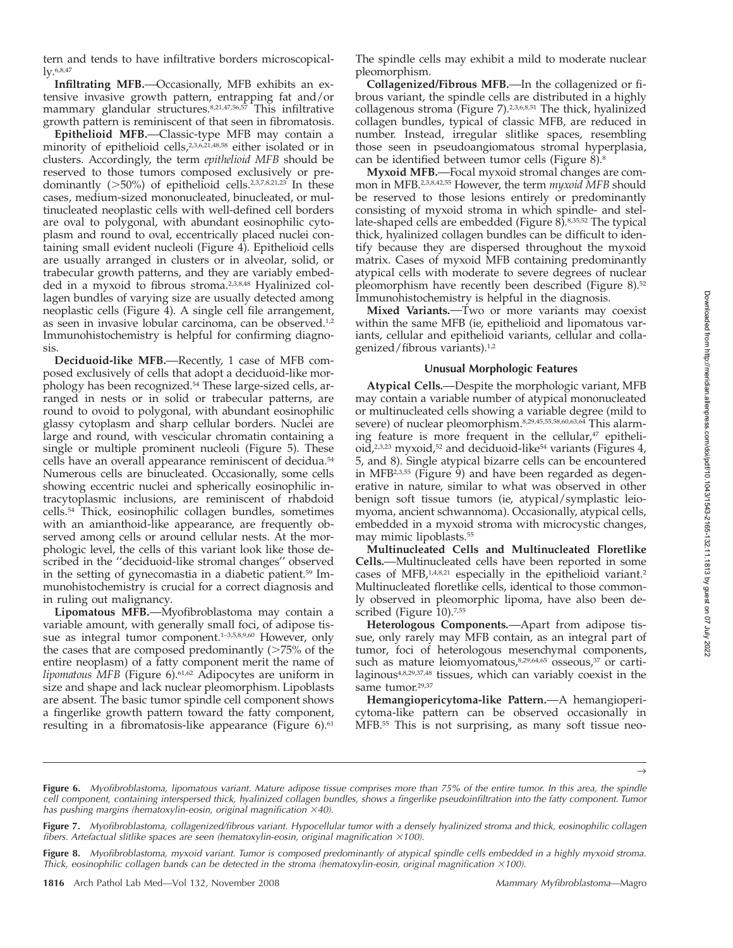tern and tends to have infiltrative borders microscopically.6,8,47

Infiltrating MFB.—Occasionally, MFB exhibits an extensive invasive growth pattern, entrapping fat and/or mammary glandular structures.8,21,47,56,57 This infiltrative growth pattern is reminiscent of that seen in fibromatosis.

**Epithelioid MFB.** Classic-type MFB may contain a minority of epithelioid cells,2,3,6,21,48,58 either isolated or in clusters. Accordingly, the term *epithelioid MFB* should be reserved to those tumors composed exclusively or predominantly  $($ >50%) of epithelioid cells.<sup>2,3,7,8,21,23</sup> In these cases, medium-sized mononucleated, binucleated, or multinucleated neoplastic cells with well-defined cell borders are oval to polygonal, with abundant eosinophilic cytoplasm and round to oval, eccentrically placed nuclei containing small evident nucleoli (Figure 4). Epithelioid cells are usually arranged in clusters or in alveolar, solid, or trabecular growth patterns, and they are variably embedded in a myxoid to fibrous stroma.2,3,8,48 Hyalinized collagen bundles of varying size are usually detected among neoplastic cells (Figure 4). A single cell file arrangement, as seen in invasive lobular carcinoma, can be observed.1,2 Immunohistochemistry is helpful for confirming diagnosis.

Deciduoid-like MFB.—Recently, 1 case of MFB composed exclusively of cells that adopt a deciduoid-like morphology has been recognized.54 These large-sized cells, arranged in nests or in solid or trabecular patterns, are round to ovoid to polygonal, with abundant eosinophilic glassy cytoplasm and sharp cellular borders. Nuclei are large and round, with vescicular chromatin containing a single or multiple prominent nucleoli (Figure 5). These cells have an overall appearance reminiscent of decidua.54 Numerous cells are binucleated. Occasionally, some cells showing eccentric nuclei and spherically eosinophilic intracytoplasmic inclusions, are reminiscent of rhabdoid cells.54 Thick, eosinophilic collagen bundles, sometimes with an amianthoid-like appearance, are frequently observed among cells or around cellular nests. At the morphologic level, the cells of this variant look like those described in the ''deciduoid-like stromal changes'' observed in the setting of gynecomastia in a diabetic patient.59 Immunohistochemistry is crucial for a correct diagnosis and in ruling out malignancy.

Lipomatous MFB.—Myofibroblastoma may contain a variable amount, with generally small foci, of adipose tissue as integral tumor component.<sup>1-3,5,8,9,60</sup> However, only the cases that are composed predominantly  $($ >75% of the entire neoplasm) of a fatty component merit the name of *lipomatous MFB* (Figure 6).61,62 Adipocytes are uniform in size and shape and lack nuclear pleomorphism. Lipoblasts are absent. The basic tumor spindle cell component shows a fingerlike growth pattern toward the fatty component, resulting in a fibromatosis-like appearance (Figure 6).<sup>61</sup>

The spindle cells may exhibit a mild to moderate nuclear pleomorphism.

**Collagenized/Fibrous MFB.**—In the collagenized or fibrous variant, the spindle cells are distributed in a highly collagenous stroma (Figure 7).2,3,6,8,51 The thick, hyalinized collagen bundles, typical of classic MFB, are reduced in number. Instead, irregular slitlike spaces, resembling those seen in pseudoangiomatous stromal hyperplasia, can be identified between tumor cells (Figure 8).8

**Myxoid MFB.** Focal myxoid stromal changes are common in MFB.2,3,8,42,55 However, the term *myxoid MFB* should be reserved to those lesions entirely or predominantly consisting of myxoid stroma in which spindle- and stellate-shaped cells are embedded (Figure 8).8,35,52 The typical thick, hyalinized collagen bundles can be difficult to identify because they are dispersed throughout the myxoid matrix. Cases of myxoid MFB containing predominantly atypical cells with moderate to severe degrees of nuclear pleomorphism have recently been described (Figure 8).<sup>52</sup> Immunohistochemistry is helpful in the diagnosis.

Mixed Variants.<sup>-Two</sup> or more variants may coexist within the same MFB (ie, epithelioid and lipomatous variants, cellular and epithelioid variants, cellular and collagenized/fibrous variants).1,2

### **Unusual Morphologic Features**

Atypical Cells.—Despite the morphologic variant, MFB may contain a variable number of atypical mononucleated or multinucleated cells showing a variable degree (mild to severe) of nuclear pleomorphism. 8,29,45,55,58,60,63,64 This alarming feature is more frequent in the cellular, $47$  epithelioid, $2^{3,23}$  myxoid, $5^{2}$  and deciduoid-like<sup>54</sup> variants (Figures 4, 5, and 8). Single atypical bizarre cells can be encountered in MFB<sup>2,3,55</sup> (Figure 9) and have been regarded as degenerative in nature, similar to what was observed in other benign soft tissue tumors (ie, atypical/symplastic leiomyoma, ancient schwannoma). Occasionally, atypical cells, embedded in a myxoid stroma with microcystic changes, may mimic lipoblasts.55

**Multinucleated Cells and Multinucleated Floretlike Cells.** Multinucleated cells have been reported in some cases of MFB,<sup>1,4,8,21</sup> especially in the epithelioid variant.<sup>2</sup> Multinucleated floretlike cells, identical to those commonly observed in pleomorphic lipoma, have also been described (Figure 10).<sup>7,55</sup>

**Heterologous Components.** Apart from adipose tissue, only rarely may MFB contain, as an integral part of tumor, foci of heterologous mesenchymal components, such as mature leiomyomatous,<sup>8,29,64,65</sup> osseous,<sup>37</sup> or cartilaginous4,8,29,37,48 tissues, which can variably coexist in the same tumor.<sup>29,37</sup>

Hemangiopericytoma-like Pattern. - A hemangiopericytoma-like pattern can be observed occasionally in MFB.55 This is not surprising, as many soft tissue neo-

 $\rightarrow$ 

**Figure 6.** *Myofibroblastoma, lipomatous variant. Mature adipose tissue comprises more than 75% of the entire tumor. In this area, the spindle cell component, containing interspersed thick, hyalinized collagen bundles, shows a fingerlike pseudoinfiltration into the fatty component. Tumor* has pushing margins (hematoxylin-eosin, original magnification  $\times$ 40).

**Figure 7.** *Myofibroblastoma, collagenized/fibrous variant. Hypocellular tumor with a densely hyalinized stroma and thick, eosinophilic collagen fibers. Artefactual slitlike spaces are seen (hematoxylin-eosin, original magnification ×100).* 

**Figure 8.** *Myofibroblastoma, myxoid variant. Tumor is composed predominantly of atypical spindle cells embedded in a highly myxoid stroma. Thick, eosinophilic collagen bands can be detected in the stroma (hematoxylin-eosin, original magnification ×100).*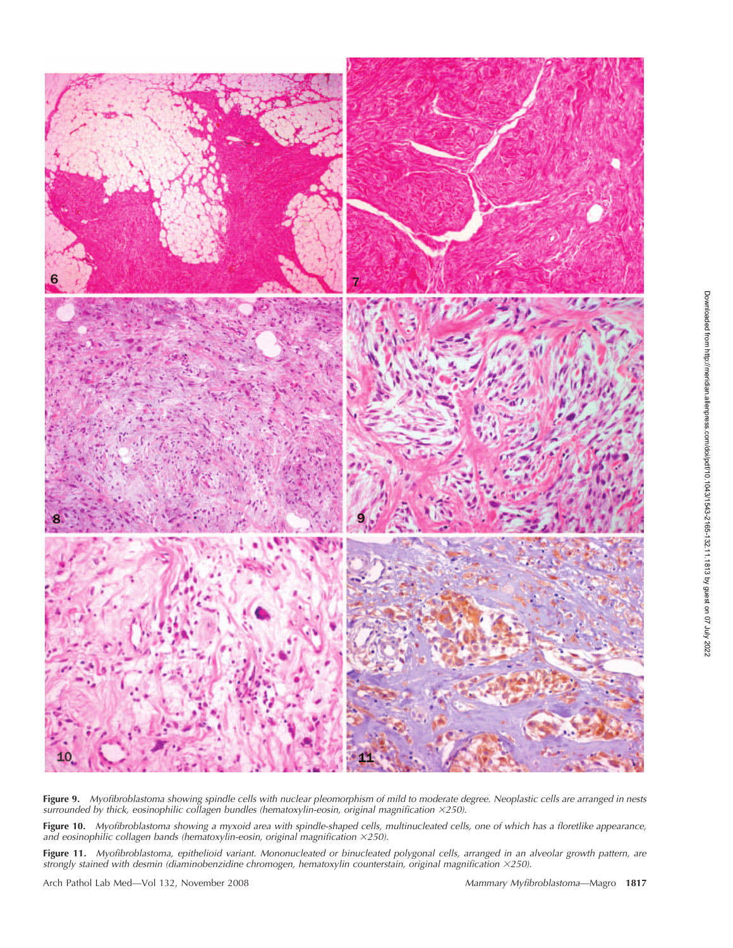

**Figure 9.** *Myofibroblastoma showing spindle cells with nuclear pleomorphism of mild to moderate degree. Neoplastic cells are arranged in nests* surrounded by thick, eosinophilic collagen bundles (hematoxylin-eosin, original magnification ×250).

**Figure 10.** *Myofibroblastoma showing a myxoid area with spindle-shaped cells, multinucleated cells, one of which has a floretlike appearance, and eosinophilic collagen bands (hematoxylin-eosin, original magnification* -*250).*

**Figure 11.** *Myofibroblastoma, epithelioid variant. Mononucleated or binucleated polygonal cells, arranged in an alveolar growth pattern, are strongly stained with desmin (diaminobenzidine chromogen, hematoxylin counterstain, original magnification ×250).* 

Arch Pathol Lab Med—Vol 132, November 2008 *Mammary Myfibroblastoma*—Magro **1817**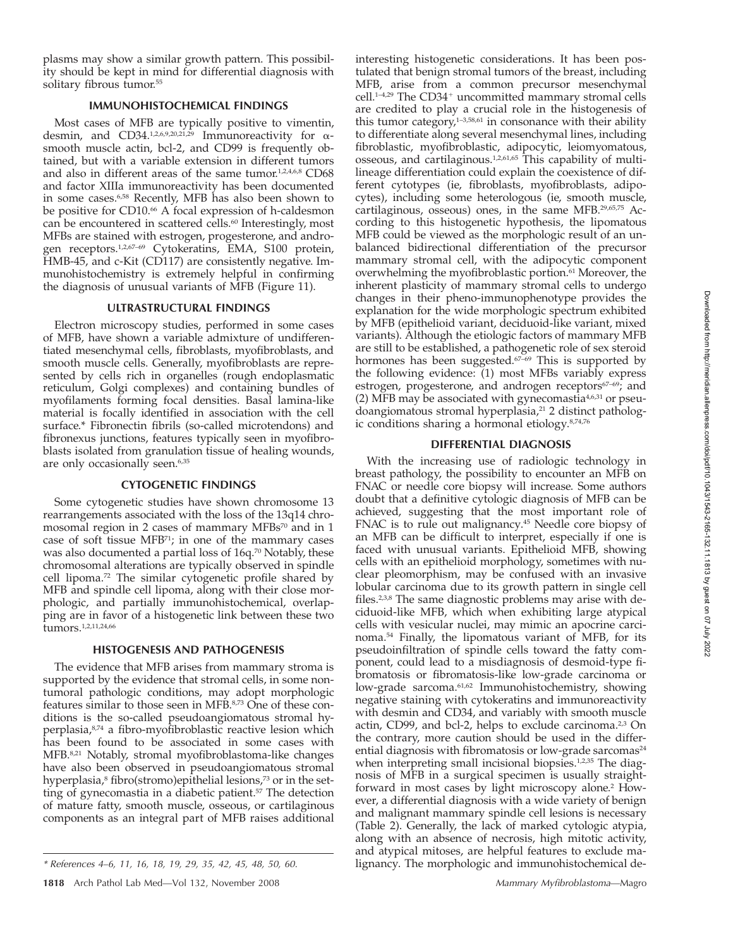plasms may show a similar growth pattern. This possibility should be kept in mind for differential diagnosis with solitary fibrous tumor.<sup>55</sup>

### **IMMUNOHISTOCHEMICAL FINDINGS**

Most cases of MFB are typically positive to vimentin, desmin, and  $CD34.1,2,6,9,20,21,29}$  Immunoreactivity for  $\alpha$ smooth muscle actin, bcl-2, and CD99 is frequently obtained, but with a variable extension in different tumors and also in different areas of the same tumor.<sup>1,2,4,6,8</sup> CD68 and factor XIIIa immunoreactivity has been documented in some cases.6,58 Recently, MFB has also been shown to be positive for CD10.<sup>66</sup> A focal expression of h-caldesmon can be encountered in scattered cells.<sup>60</sup> Interestingly, most MFBs are stained with estrogen, progesterone, and androgen receptors.1,2,67–69 Cytokeratins, EMA, S100 protein, HMB-45, and c-Kit (CD117) are consistently negative. Immunohistochemistry is extremely helpful in confirming the diagnosis of unusual variants of MFB (Figure 11).

### **ULTRASTRUCTURAL FINDINGS**

Electron microscopy studies, performed in some cases of MFB, have shown a variable admixture of undifferentiated mesenchymal cells, fibroblasts, myofibroblasts, and smooth muscle cells. Generally, myofibroblasts are represented by cells rich in organelles (rough endoplasmatic reticulum, Golgi complexes) and containing bundles of myofilaments forming focal densities. Basal lamina-like material is focally identified in association with the cell surface.\* Fibronectin fibrils (so-called microtendons) and fibronexus junctions, features typically seen in myofibroblasts isolated from granulation tissue of healing wounds, are only occasionally seen.<sup>6,35</sup>

### **CYTOGENETIC FINDINGS**

Some cytogenetic studies have shown chromosome 13 rearrangements associated with the loss of the 13q14 chromosomal region in 2 cases of mammary MFBs<sup>70</sup> and in 1 case of soft tissue MFB71; in one of the mammary cases was also documented a partial loss of 16q.<sup>70</sup> Notably, these chromosomal alterations are typically observed in spindle cell lipoma.72 The similar cytogenetic profile shared by MFB and spindle cell lipoma, along with their close morphologic, and partially immunohistochemical, overlapping are in favor of a histogenetic link between these two tumors.1,2,11,24,66

### **HISTOGENESIS AND PATHOGENESIS**

The evidence that MFB arises from mammary stroma is supported by the evidence that stromal cells, in some nontumoral pathologic conditions, may adopt morphologic features similar to those seen in MFB.8,73 One of these conditions is the so-called pseudoangiomatous stromal hyperplasia,8,74 a fibro-myofibroblastic reactive lesion which has been found to be associated in some cases with MFB.8,21 Notably, stromal myofibroblastoma-like changes have also been observed in pseudoangiomatous stromal hyperplasia,<sup>8</sup> fibro(stromo)epithelial lesions,<sup>73</sup> or in the setting of gynecomastia in a diabetic patient.<sup>57</sup> The detection of mature fatty, smooth muscle, osseous, or cartilaginous components as an integral part of MFB raises additional

interesting histogenetic considerations. It has been postulated that benign stromal tumors of the breast, including MFB, arise from a common precursor mesenchymal cell.<sup>1-4,29</sup> The CD34<sup>+</sup> uncommitted mammary stromal cells are credited to play a crucial role in the histogenesis of this tumor category, $1-3,58,61$  in consonance with their ability to differentiate along several mesenchymal lines, including fibroblastic, myofibroblastic, adipocytic, leiomyomatous, osseous, and cartilaginous.1,2,61,65 This capability of multilineage differentiation could explain the coexistence of different cytotypes (ie, fibroblasts, myofibroblasts, adipocytes), including some heterologous (ie, smooth muscle, cartilaginous, osseous) ones, in the same MFB.29,65,75 According to this histogenetic hypothesis, the lipomatous MFB could be viewed as the morphologic result of an unbalanced bidirectional differentiation of the precursor mammary stromal cell, with the adipocytic component overwhelming the myofibroblastic portion.<sup>61</sup> Moreover, the inherent plasticity of mammary stromal cells to undergo changes in their pheno-immunophenotype provides the explanation for the wide morphologic spectrum exhibited by MFB (epithelioid variant, deciduoid-like variant, mixed variants). Although the etiologic factors of mammary MFB are still to be established, a pathogenetic role of sex steroid hormones has been suggested.<sup>67-69</sup> This is supported by the following evidence: (1) most MFBs variably express estrogen, progesterone, and androgen receptors<sup>67-69</sup>; and (2) MFB may be associated with gynecomastia4,6,31 or pseudoangiomatous stromal hyperplasia,<sup>21</sup> 2 distinct pathologic conditions sharing a hormonal etiology.8,74,76

### **DIFFERENTIAL DIAGNOSIS**

With the increasing use of radiologic technology in breast pathology, the possibility to encounter an MFB on FNAC or needle core biopsy will increase. Some authors doubt that a definitive cytologic diagnosis of MFB can be achieved, suggesting that the most important role of FNAC is to rule out malignancy.45 Needle core biopsy of an MFB can be difficult to interpret, especially if one is faced with unusual variants. Epithelioid MFB, showing cells with an epithelioid morphology, sometimes with nuclear pleomorphism, may be confused with an invasive lobular carcinoma due to its growth pattern in single cell files.<sup>2,3,8</sup> The same diagnostic problems may arise with deciduoid-like MFB, which when exhibiting large atypical cells with vesicular nuclei, may mimic an apocrine carcinoma.54 Finally, the lipomatous variant of MFB, for its pseudoinfiltration of spindle cells toward the fatty component, could lead to a misdiagnosis of desmoid-type fibromatosis or fibromatosis-like low-grade carcinoma or low-grade sarcoma.61,62 Immunohistochemistry, showing negative staining with cytokeratins and immunoreactivity with desmin and CD34, and variably with smooth muscle actin, CD99, and bcl-2, helps to exclude carcinoma.<sup>2,3</sup> On the contrary, more caution should be used in the differential diagnosis with fibromatosis or low-grade sarcomas<sup>24</sup> when interpreting small incisional biopsies.<sup>1,2,35</sup> The diagnosis of MFB in a surgical specimen is usually straightforward in most cases by light microscopy alone.2 However, a differential diagnosis with a wide variety of benign and malignant mammary spindle cell lesions is necessary (Table 2). Generally, the lack of marked cytologic atypia, along with an absence of necrosis, high mitotic activity, and atypical mitoses, are helpful features to exclude malignancy. The morphologic and immunohistochemical de-

*<sup>\*</sup> References 4–6, 11, 16, 18, 19, 29, 35, 42, 45, 48, 50, 60.*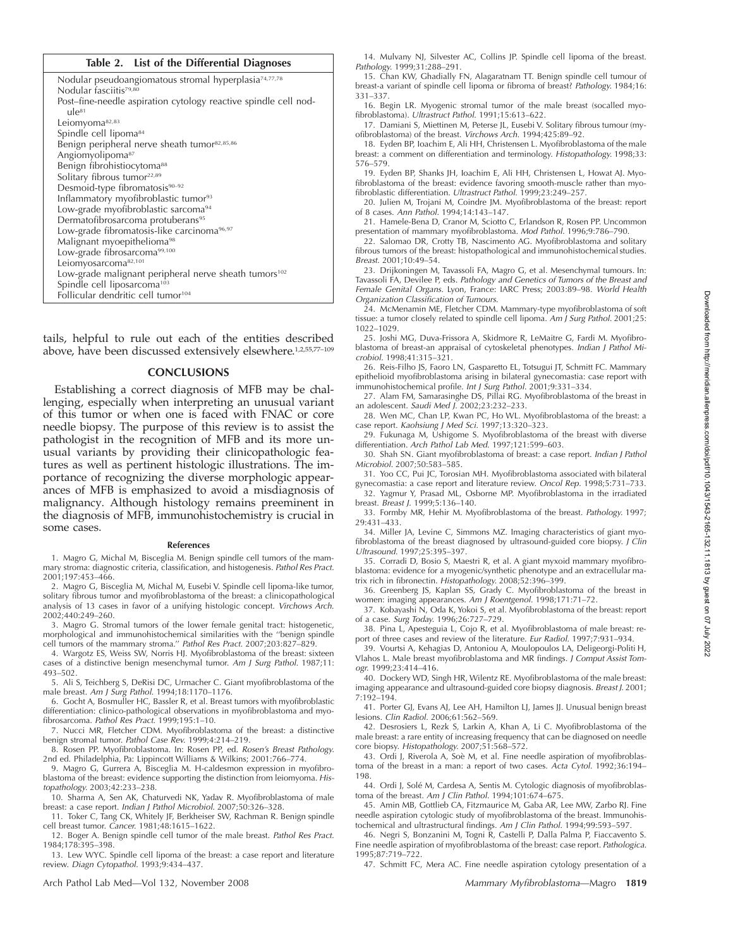# Downloaded from http://meridian.allenpress.com/doi/pdf/10.1043/1543-2165-132.11.1813 by guest on 07 July 2022 Downloaded from http://meridian.allenpress.com/doi/pdf/10.1043/1543-2165-132.11.1813 by guest on 07 July 2022

### **Table 2. List of the Differential Diagnoses**

| Nodular pseudoangiomatous stromal hyperplasia <sup>74,77,78</sup> |
|-------------------------------------------------------------------|
| Nodular fasciitis <sup>79,80</sup>                                |
| Post–fine-needle aspiration cytology reactive spindle cell nod-   |
| $11e^{81}$                                                        |
| Leiomyoma <sup>82,83</sup>                                        |
| Spindle cell lipoma <sup>84</sup>                                 |
| Benign peripheral nerve sheath tumor <sup>82,85,86</sup>          |
| Angiomyolipoma <sup>87</sup>                                      |
| Benign fibrohistiocytoma <sup>88</sup>                            |
| Solitary fibrous tumor <sup>22,89</sup>                           |
| Desmoid-type fibromatosis <sup>90-92</sup>                        |
| Inflammatory myofibroblastic tumor <sup>93</sup>                  |
| Low-grade myofibroblastic sarcoma <sup>94</sup>                   |
| Dermatofibrosarcoma protuberans <sup>95</sup>                     |
| Low-grade fibromatosis-like carcinoma <sup>96,97</sup>            |
| Malignant myoepithelioma <sup>98</sup>                            |
| Low-grade fibrosarcoma99,100                                      |
| Leiomyosarcoma82,101                                              |
| Low-grade malignant peripheral nerve sheath tumors <sup>102</sup> |
| Spindle cell liposarcoma <sup>103</sup>                           |
| Follicular dendritic cell tumor <sup>104</sup>                    |

tails, helpful to rule out each of the entities described above, have been discussed extensively elsewhere.<sup>1,2,55,77-109</sup>

### **CONCLUSIONS**

Establishing a correct diagnosis of MFB may be challenging, especially when interpreting an unusual variant of this tumor or when one is faced with FNAC or core needle biopsy. The purpose of this review is to assist the pathologist in the recognition of MFB and its more unusual variants by providing their clinicopathologic features as well as pertinent histologic illustrations. The importance of recognizing the diverse morphologic appearances of MFB is emphasized to avoid a misdiagnosis of malignancy. Although histology remains preeminent in the diagnosis of MFB, immunohistochemistry is crucial in some cases.

### **References**

1. Magro G, Michal M, Bisceglia M. Benign spindle cell tumors of the mammary stroma: diagnostic criteria, classification, and histogenesis. *Pathol Res Pract.* 2001;197:453–466.

2. Magro G, Bisceglia M, Michal M, Eusebi V. Spindle cell lipoma-like tumor, solitary fibrous tumor and myofibroblastoma of the breast: a clinicopathological analysis of 13 cases in favor of a unifying histologic concept. *Virchows Arch.* 2002;440:249–260.

3. Magro G. Stromal tumors of the lower female genital tract: histogenetic, morphological and immunohistochemical similarities with the ''benign spindle cell tumors of the mammary stroma.'' *Pathol Res Pract.* 2007;203:827–829.

4. Wargotz ES, Weiss SW, Norris HJ. Myofibroblastoma of the breast: sixteen cases of a distinctive benign mesenchymal tumor. *Am J Surg Pathol.* 1987;11: 493–502.

5. Ali S, Teichberg S, DeRisi DC, Urmacher C. Giant myofibroblastoma of the male breast. *Am J Surg Pathol.* 1994;18:1170–1176.

6. Gocht A, Bosmuller HC, Bassler R, et al. Breast tumors with myofibroblastic differentiation: clinico-pathological observations in myofibroblastoma and myofibrosarcoma. *Pathol Res Pract.* 1999;195:1–10.

7. Nucci MR, Fletcher CDM. Myofibroblastoma of the breast: a distinctive benign stromal tumor. *Pathol Case Rev.* 1999;4:214–219.

8. Rosen PP. Myofibroblastoma. In: Rosen PP, ed. *Rosen's Breast Pathology.* 2nd ed. Philadelphia, Pa: Lippincott Williams & Wilkins; 2001:766–774.

9. Magro G, Gurrera A, Bisceglia M. H-caldesmon expression in myofibroblastoma of the breast: evidence supporting the distinction from leiomyoma. *Histopathology.* 2003;42:233–238.

10. Sharma A, Sen AK, Chaturvedi NK, Yadav R. Myofibroblastoma of male breast: a case report. *Indian J Pathol Microbiol.* 2007;50:326-328.

11. Toker C, Tang CK, Whitely JF, Berkheiser SW, Rachman R. Benign spindle cell breast tumor. *Cancer.* 1981;48:1615–1622.

12. Boger A. Benign spindle cell tumor of the male breast. *Pathol Res Pract.* 1984;178:395–398.

13. Lew WYC. Spindle cell lipoma of the breast: a case report and literature review. *Diagn Cytopathol.* 1993;9:434–437.

Arch Pathol Lab Med—Vol 132, November 2008 *Mammary Myfibroblastoma*—Magro **1819**

14. Mulvany NJ, Silvester AC, Collins JP. Spindle cell lipoma of the breast. *Pathology.* 1999;31:288–291.

15. Chan KW, Ghadially FN, Alagaratnam TT. Benign spindle cell tumour of breast-a variant of spindle cell lipoma or fibroma of breast? Pathology. 1984;16: 331–337.

16. Begin LR. Myogenic stromal tumor of the male breast (socalled myofibroblastoma). *Ultrastruct Pathol.* 1991;15:613–622.

17. Damiani S, Miettinen M, Peterse JL, Eusebi V. Solitary fibrous tumour (myofibroblastoma) of the breast. *Virchows Arch.* 1994;425:89–92.

18. Eyden BP, Ioachim E, Ali HH, Christensen L. Myofibroblastoma of the male breast: a comment on differentiation and terminology. *Histopathology.* 1998;33: 576–579.

19. Eyden BP, Shanks JH, Ioachim E, Ali HH, Christensen L, Howat AJ. Myofibroblastoma of the breast: evidence favoring smooth-muscle rather than myofibroblastic differentiation. *Ultrastruct Pathol.* 1999;23:249–257.

20. Julien M, Trojani M, Coindre JM. Myofibroblastoma of the breast: report of 8 cases. *Ann Pathol.* 1994;14:143–147.

21. Hamele-Bena D, Cranor M, Sciotto C, Erlandson R, Rosen PP. Uncommon presentation of mammary myofibroblastoma. *Mod Pathol.* 1996;9:786–790.

22. Salomao DR, Crotty TB, Nascimento AG. Myofibroblastoma and solitary fibrous tumors of the breast: histopathological and immunohistochemical studies. *Breast.* 2001;10:49–54.

23. Drijkoningen M, Tavassoli FA, Magro G, et al. Mesenchymal tumours. In: Tavassoli FA, Devilee P, eds. *Pathology and Genetics of Tumors of the Breast and Female Genital Organs.* Lyon, France: IARC Press; 2003:89–98. *World Health Organization Classification of Tumours.*

24. McMenamin ME, Fletcher CDM. Mammary-type myofibroblastoma of soft tissue: a tumor closely related to spindle cell lipoma. *Am J Surg Pathol.* 2001;25: 1022–1029.

25. Joshi MG, Duva-Frissora A, Skidmore R, LeMaitre G, Fardi M. Myofibroblastoma of breast-an appraisal of cytoskeletal phenotypes. *Indian J Pathol Microbiol.* 1998;41:315–321.

26. Reis-Filho JS, Faoro LN, Gasparetto EL, Totsugui JT, Schmitt FC. Mammary epithelioid myofibroblastoma arising in bilateral gynecomastia: case report with immunohistochemical profile. *Int J Surg Pathol.* 2001;9:331–334.

27. Alam FM, Samarasinghe DS, Pillai RG. Myofibroblastoma of the breast in an adolescent. *Saudi Med J.* 2002;23:232–233.

28. Wen MC, Chan LP, Kwan PC, Ho WL. Myofibroblastoma of the breast: a case report. *Kaohsiung J Med Sci.* 1997;13:320–323.

29. Fukunaga M, Ushigome S. Myofibroblastoma of the breast with diverse differentiation. *Arch Pathol Lab Med.* 1997;121:599–603.

30. Shah SN. Giant myofibroblastoma of breast: a case report. *Indian J Pathol Microbiol.* 2007;50:583–585.

31. Yoo CC, Pui JC, Torosian MH. Myofibroblastoma associated with bilateral gynecomastia: a case report and literature review. *Oncol Rep.* 1998;5:731–733. 32. Yagmur Y, Prasad ML, Osborne MP. Myofibroblastoma in the irradiated breast. *Breast J.* 1999;5:136–140.

33. Formby MR, Hehir M. Myofibroblastoma of the breast. *Pathology.* 1997; 29:431–433.

34. Miller JA, Levine C, Simmons MZ. Imaging characteristics of giant myofibroblastoma of the breast diagnosed by ultrasound-guided core biopsy. *J Clin Ultrasound.* 1997;25:395–397.

35. Corradi D, Bosio S, Maestri R, et al. A giant myxoid mammary myofibroblastoma: evidence for a myogenic/synthetic phenotype and an extracellular matrix rich in fibronectin. *Histopathology.* 2008;52:396–399.

36. Greenberg JS, Kaplan SS, Grady C. Myofibroblastoma of the breast in women: imaging appearances. *Am J Roentgenol.* 1998;171:71–72.

37. Kobayashi N, Oda K, Yokoi S, et al. Myofibroblastoma of the breast: report of a case. *Surg Today.* 1996;26:727–729.

38. Pina L, Apesteguia L, Cojo R, et al. Myofibroblastoma of male breast: report of three cases and review of the literature. *Eur Radiol.* 1997;7:931–934.

39. Vourtsi A, Kehagias D, Antoniou A, Moulopoulos LA, Deligeorgi-Politi H, Vlahos L. Male breast myofibroblastoma and MR findings. *J Comput Assist Tomogr.* 1999;23:414–416.

40. Dockery WD, Singh HR, Wilentz RE. Myofibroblastoma of the male breast: imaging appearance and ultrasound-guided core biopsy diagnosis. *Breast J.* 2001; 7:192–194.

41. Porter GJ, Evans AJ, Lee AH, Hamilton LJ, James JJ. Unusual benign breast lesions. *Clin Radiol.* 2006;61:562–569.

42. Desrosiers L, Rezk S, Larkin A, Khan A, Li C. Myofibroblastoma of the male breast: a rare entity of increasing frequency that can be diagnosed on needle core biopsy. *Histopathology.* 2007;51:568–572.

43. Ordi J, Riverola A, Soè M, et al. Fine needle aspiration of myofibroblastoma of the breast in a man: a report of two cases. *Acta Cytol.* 1992;36:194– 198.

44. Ordi J, Solé M, Cardesa A, Sentis M. Cytologic diagnosis of myofibroblastoma of the breast. *Am J Clin Pathol.* 1994;101:674–675.

45. Amin MB, Gottlieb CA, Fitzmaurice M, Gaba AR, Lee MW, Zarbo RJ. Fine needle aspiration cytologic study of myofibroblastoma of the breast. Immunohistochemical and ultrastructural findings. *Am J Clin Pathol.* 1994;99:593–597.

46. Negri S, Bonzanini M, Togni R, Castelli P, Dalla Palma P, Fiaccavento S. Fine needle aspiration of myofibroblastoma of the breast: case report. *Pathologica.* 1995;87:719–722.

47. Schmitt FC, Mera AC. Fine needle aspiration cytology presentation of a